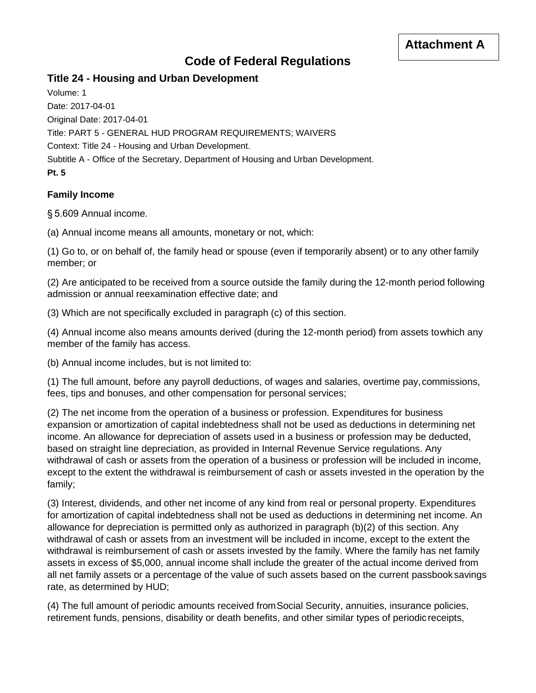# **Code of Federal Regulations**

## **Title 24 - Housing and Urban Development**

Volume: 1 Date: 2017-04-01 Original Date: 2017-04-01 Title: PART 5 - GENERAL HUD PROGRAM REQUIREMENTS; WAIVERS Context: Title 24 - Housing and Urban Development. Subtitle A - Office of the Secretary, Department of Housing and Urban Development. **Pt. 5**

#### **Family Income**

§ 5.609 Annual income.

(a) Annual income means all amounts, monetary or not, which:

(1) Go to, or on behalf of, the family head or spouse (even if temporarily absent) or to any other family member; or

(2) Are anticipated to be received from a source outside the family during the 12-month period following admission or annual reexamination effective date; and

(3) Which are not specifically excluded in paragraph (c) of this section.

(4) Annual income also means amounts derived (during the 12-month period) from assets towhich any member of the family has access.

(b) Annual income includes, but is not limited to:

(1) The full amount, before any payroll deductions, of wages and salaries, overtime pay,commissions, fees, tips and bonuses, and other compensation for personal services;

(2) The net income from the operation of a business or profession. Expenditures for business expansion or amortization of capital indebtedness shall not be used as deductions in determining net income. An allowance for depreciation of assets used in a business or profession may be deducted, based on straight line depreciation, as provided in Internal Revenue Service regulations. Any withdrawal of cash or assets from the operation of a business or profession will be included in income, except to the extent the withdrawal is reimbursement of cash or assets invested in the operation by the family;

(3) Interest, dividends, and other net income of any kind from real or personal property. Expenditures for amortization of capital indebtedness shall not be used as deductions in determining net income. An allowance for depreciation is permitted only as authorized in paragraph (b)(2) of this section. Any withdrawal of cash or assets from an investment will be included in income, except to the extent the withdrawal is reimbursement of cash or assets invested by the family. Where the family has net family assets in excess of \$5,000, annual income shall include the greater of the actual income derived from all net family assets or a percentage of the value of such assets based on the current passbooksavings rate, as determined by HUD;

(4) The full amount of periodic amounts received fromSocial Security, annuities, insurance policies, retirement funds, pensions, disability or death benefits, and other similar types of periodicreceipts,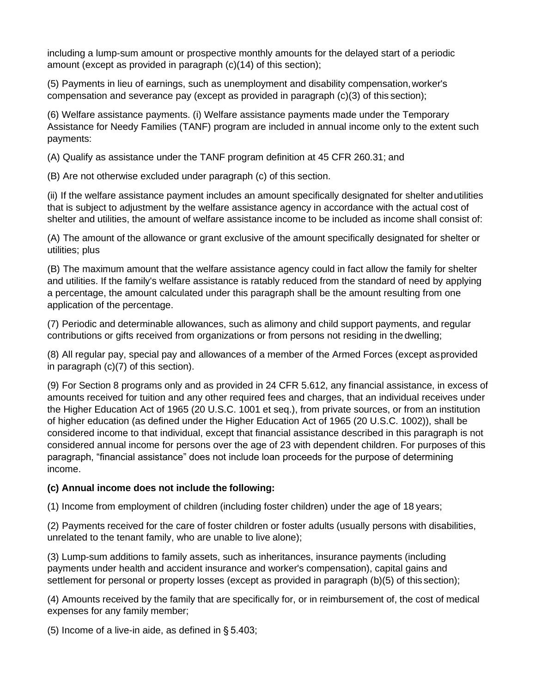including a lump-sum amount or prospective monthly amounts for the delayed start of a periodic amount (except as provided in paragraph (c)(14) of this section);

(5) Payments in lieu of earnings, such as unemployment and disability compensation,worker's compensation and severance pay (except as provided in paragraph (c)(3) of this section);

(6) Welfare assistance payments. (i) Welfare assistance payments made under the Temporary Assistance for Needy Families (TANF) program are included in annual income only to the extent such payments:

(A) Qualify as assistance under the TANF program definition at 45 CFR 260.31; and

(B) Are not otherwise excluded under paragraph (c) of this section.

(ii) If the welfare assistance payment includes an amount specifically designated for shelter andutilities that is subject to adjustment by the welfare assistance agency in accordance with the actual cost of shelter and utilities, the amount of welfare assistance income to be included as income shall consist of:

(A) The amount of the allowance or grant exclusive of the amount specifically designated for shelter or utilities; plus

(B) The maximum amount that the welfare assistance agency could in fact allow the family for shelter and utilities. If the family's welfare assistance is ratably reduced from the standard of need by applying a percentage, the amount calculated under this paragraph shall be the amount resulting from one application of the percentage.

(7) Periodic and determinable allowances, such as alimony and child support payments, and regular contributions or gifts received from organizations or from persons not residing in the dwelling;

(8) All regular pay, special pay and allowances of a member of the Armed Forces (except asprovided in paragraph (c)(7) of this section).

(9) For Section 8 programs only and as provided in 24 CFR 5.612, any financial assistance, in excess of amounts received for tuition and any other required fees and charges, that an individual receives under the Higher Education Act of 1965 (20 U.S.C. 1001 et seq.), from private sources, or from an institution of higher education (as defined under the Higher Education Act of 1965 (20 U.S.C. 1002)), shall be considered income to that individual, except that financial assistance described in this paragraph is not considered annual income for persons over the age of 23 with dependent children. For purposes of this paragraph, "financial assistance" does not include loan proceeds for the purpose of determining income.

#### **(c) Annual income does not include the following:**

(1) Income from employment of children (including foster children) under the age of 18 years;

(2) Payments received for the care of foster children or foster adults (usually persons with disabilities, unrelated to the tenant family, who are unable to live alone);

(3) Lump-sum additions to family assets, such as inheritances, insurance payments (including payments under health and accident insurance and worker's compensation), capital gains and settlement for personal or property losses (except as provided in paragraph (b)(5) of this section);

(4) Amounts received by the family that are specifically for, or in reimbursement of, the cost of medical expenses for any family member;

(5) Income of a live-in aide, as defined in § 5.403;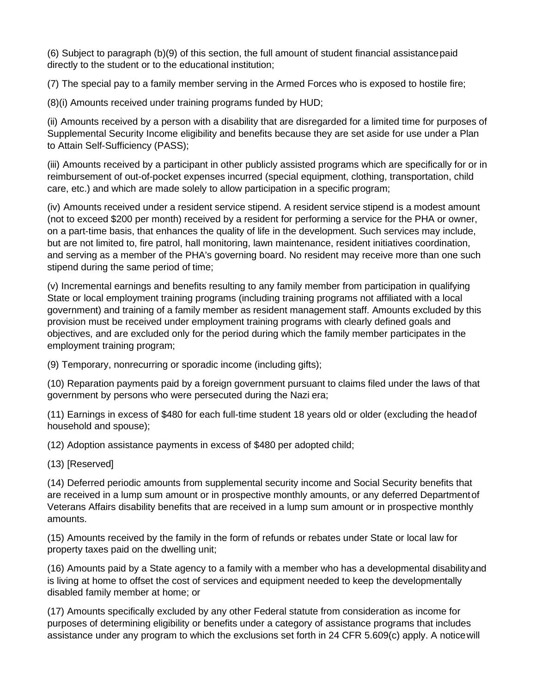(6) Subject to paragraph (b)(9) of this section, the full amount of student financial assistancepaid directly to the student or to the educational institution;

(7) The special pay to a family member serving in the Armed Forces who is exposed to hostile fire;

(8)(i) Amounts received under training programs funded by HUD;

(ii) Amounts received by a person with a disability that are disregarded for a limited time for purposes of Supplemental Security Income eligibility and benefits because they are set aside for use under a Plan to Attain Self-Sufficiency (PASS);

(iii) Amounts received by a participant in other publicly assisted programs which are specifically for or in reimbursement of out-of-pocket expenses incurred (special equipment, clothing, transportation, child care, etc.) and which are made solely to allow participation in a specific program;

(iv) Amounts received under a resident service stipend. A resident service stipend is a modest amount (not to exceed \$200 per month) received by a resident for performing a service for the PHA or owner, on a part-time basis, that enhances the quality of life in the development. Such services may include, but are not limited to, fire patrol, hall monitoring, lawn maintenance, resident initiatives coordination, and serving as a member of the PHA's governing board. No resident may receive more than one such stipend during the same period of time;

(v) Incremental earnings and benefits resulting to any family member from participation in qualifying State or local employment training programs (including training programs not affiliated with a local government) and training of a family member as resident management staff. Amounts excluded by this provision must be received under employment training programs with clearly defined goals and objectives, and are excluded only for the period during which the family member participates in the employment training program;

(9) Temporary, nonrecurring or sporadic income (including gifts);

(10) Reparation payments paid by a foreign government pursuant to claims filed under the laws of that government by persons who were persecuted during the Nazi era;

(11) Earnings in excess of \$480 for each full-time student 18 years old or older (excluding the headof household and spouse);

(12) Adoption assistance payments in excess of \$480 per adopted child;

(13) [Reserved]

(14) Deferred periodic amounts from supplemental security income and Social Security benefits that are received in a lump sum amount or in prospective monthly amounts, or any deferred Departmentof Veterans Affairs disability benefits that are received in a lump sum amount or in prospective monthly amounts.

(15) Amounts received by the family in the form of refunds or rebates under State or local law for property taxes paid on the dwelling unit;

(16) Amounts paid by a State agency to a family with a member who has a developmental disabilityand is living at home to offset the cost of services and equipment needed to keep the developmentally disabled family member at home; or

(17) Amounts specifically excluded by any other Federal statute from consideration as income for purposes of determining eligibility or benefits under a category of assistance programs that includes assistance under any program to which the exclusions set forth in 24 CFR 5.609(c) apply. A noticewill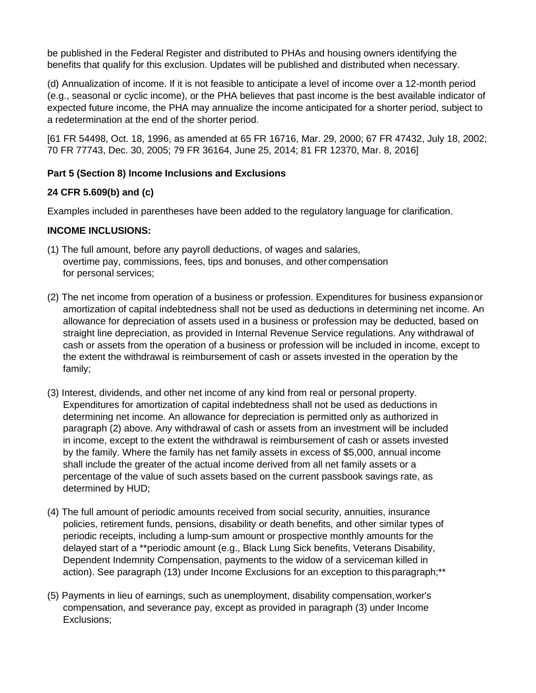be published in the Federal Register and distributed to PHAs and housing owners identifying the benefits that qualify for this exclusion. Updates will be published and distributed when necessary.

(d) Annualization of income. If it is not feasible to anticipate a level of income over a 12-month period (e.g., seasonal or cyclic income), or the PHA believes that past income is the best available indicator of expected future income, the PHA may annualize the income anticipated for a shorter period, subject to a redetermination at the end of the shorter period.

[61 FR 54498, Oct. 18, 1996, as amended at 65 FR 16716, Mar. 29, 2000; 67 FR 47432, July 18, 2002; 70 FR 77743, Dec. 30, 2005; 79 FR 36164, June 25, 2014; 81 FR 12370, Mar. 8, 2016]

## **Part 5 (Section 8) Income Inclusions and Exclusions**

## **24 CFR 5.609(b) and (c)**

Examples included in parentheses have been added to the regulatory language for clarification.

#### **INCOME INCLUSIONS:**

- (1) The full amount, before any payroll deductions, of wages and salaries, overtime pay, commissions, fees, tips and bonuses, and other compensation for personal services;
- (2) The net income from operation of a business or profession. Expenditures for business expansionor amortization of capital indebtedness shall not be used as deductions in determining net income. An allowance for depreciation of assets used in a business or profession may be deducted, based on straight line depreciation, as provided in Internal Revenue Service regulations. Any withdrawal of cash or assets from the operation of a business or profession will be included in income, except to the extent the withdrawal is reimbursement of cash or assets invested in the operation by the family;
- (3) Interest, dividends, and other net income of any kind from real or personal property. Expenditures for amortization of capital indebtedness shall not be used as deductions in determining net income. An allowance for depreciation is permitted only as authorized in paragraph (2) above. Any withdrawal of cash or assets from an investment will be included in income, except to the extent the withdrawal is reimbursement of cash or assets invested by the family. Where the family has net family assets in excess of \$5,000, annual income shall include the greater of the actual income derived from all net family assets or a percentage of the value of such assets based on the current passbook savings rate, as determined by HUD;
- (4) The full amount of periodic amounts received from social security, annuities, insurance policies, retirement funds, pensions, disability or death benefits, and other similar types of periodic receipts, including a lump-sum amount or prospective monthly amounts for the delayed start of a \*\*periodic amount (e.g., Black Lung Sick benefits, Veterans Disability, Dependent Indemnity Compensation, payments to the widow of a serviceman killed in action). See paragraph (13) under Income Exclusions for an exception to thisparagraph;\*\*
- (5) Payments in lieu of earnings, such as unemployment, disability compensation,worker's compensation, and severance pay, except as provided in paragraph (3) under Income Exclusions;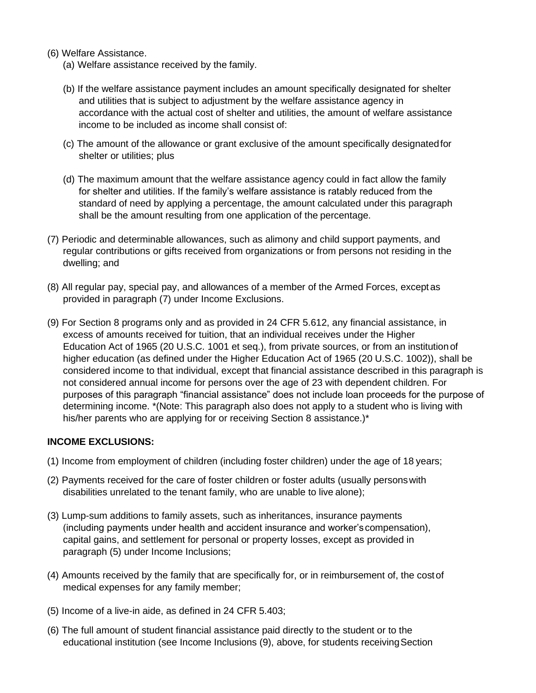- (6) Welfare Assistance.
	- (a) Welfare assistance received by the family.
	- (b) If the welfare assistance payment includes an amount specifically designated for shelter and utilities that is subject to adjustment by the welfare assistance agency in accordance with the actual cost of shelter and utilities, the amount of welfare assistance income to be included as income shall consist of:
	- (c) The amount of the allowance or grant exclusive of the amount specifically designatedfor shelter or utilities; plus
	- (d) The maximum amount that the welfare assistance agency could in fact allow the family for shelter and utilities. If the family's welfare assistance is ratably reduced from the standard of need by applying a percentage, the amount calculated under this paragraph shall be the amount resulting from one application of the percentage.
- (7) Periodic and determinable allowances, such as alimony and child support payments, and regular contributions or gifts received from organizations or from persons not residing in the dwelling; and
- (8) All regular pay, special pay, and allowances of a member of the Armed Forces, exceptas provided in paragraph (7) under Income Exclusions.
- (9) For Section 8 programs only and as provided in 24 CFR 5.612, any financial assistance, in excess of amounts received for tuition, that an individual receives under the Higher Education Act of 1965 (20 U.S.C. 1001 et seq.), from private sources, or from an institutionof higher education (as defined under the Higher Education Act of 1965 (20 U.S.C. 1002)), shall be considered income to that individual, except that financial assistance described in this paragraph is not considered annual income for persons over the age of 23 with dependent children. For purposes of this paragraph "financial assistance" does not include loan proceeds for the purpose of determining income. \*(Note: This paragraph also does not apply to a student who is living with his/her parents who are applying for or receiving Section 8 assistance.)\*

#### **INCOME EXCLUSIONS:**

- (1) Income from employment of children (including foster children) under the age of 18 years;
- (2) Payments received for the care of foster children or foster adults (usually personswith disabilities unrelated to the tenant family, who are unable to live alone);
- (3) Lump-sum additions to family assets, such as inheritances, insurance payments (including payments under health and accident insurance and worker'scompensation), capital gains, and settlement for personal or property losses, except as provided in paragraph (5) under Income Inclusions;
- (4) Amounts received by the family that are specifically for, or in reimbursement of, the costof medical expenses for any family member;
- (5) Income of a live-in aide, as defined in 24 CFR 5.403;
- (6) The full amount of student financial assistance paid directly to the student or to the educational institution (see Income Inclusions (9), above, for students receivingSection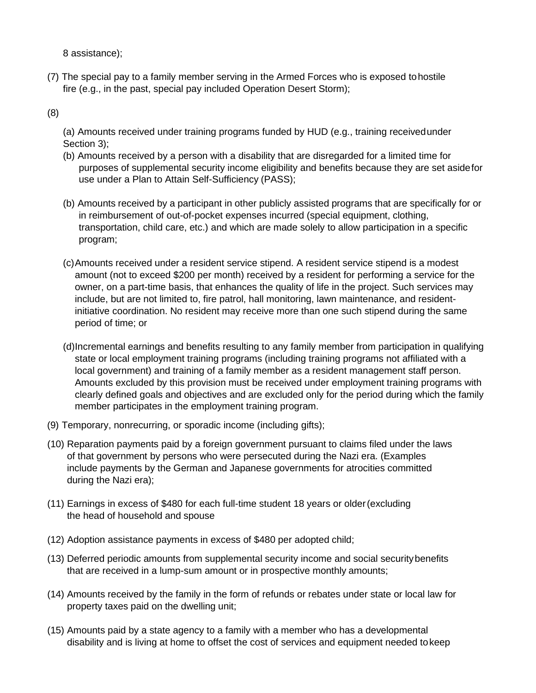8 assistance);

(7) The special pay to a family member serving in the Armed Forces who is exposed tohostile fire (e.g., in the past, special pay included Operation Desert Storm);

(8)

(a) Amounts received under training programs funded by HUD (e.g., training receivedunder Section 3);

- (b) Amounts received by a person with a disability that are disregarded for a limited time for purposes of supplemental security income eligibility and benefits because they are set asidefor use under a Plan to Attain Self-Sufficiency (PASS);
- (b) Amounts received by a participant in other publicly assisted programs that are specifically for or in reimbursement of out-of-pocket expenses incurred (special equipment, clothing, transportation, child care, etc.) and which are made solely to allow participation in a specific program;
- (c)Amounts received under a resident service stipend. A resident service stipend is a modest amount (not to exceed \$200 per month) received by a resident for performing a service for the owner, on a part-time basis, that enhances the quality of life in the project. Such services may include, but are not limited to, fire patrol, hall monitoring, lawn maintenance, and residentinitiative coordination. No resident may receive more than one such stipend during the same period of time; or
- (d)Incremental earnings and benefits resulting to any family member from participation in qualifying state or local employment training programs (including training programs not affiliated with a local government) and training of a family member as a resident management staff person. Amounts excluded by this provision must be received under employment training programs with clearly defined goals and objectives and are excluded only for the period during which the family member participates in the employment training program.
- (9) Temporary, nonrecurring, or sporadic income (including gifts);
- (10) Reparation payments paid by a foreign government pursuant to claims filed under the laws of that government by persons who were persecuted during the Nazi era. (Examples include payments by the German and Japanese governments for atrocities committed during the Nazi era);
- (11) Earnings in excess of \$480 for each full-time student 18 years or older(excluding the head of household and spouse
- (12) Adoption assistance payments in excess of \$480 per adopted child;
- (13) Deferred periodic amounts from supplemental security income and social securitybenefits that are received in a lump-sum amount or in prospective monthly amounts;
- (14) Amounts received by the family in the form of refunds or rebates under state or local law for property taxes paid on the dwelling unit;
- (15) Amounts paid by a state agency to a family with a member who has a developmental disability and is living at home to offset the cost of services and equipment needed tokeep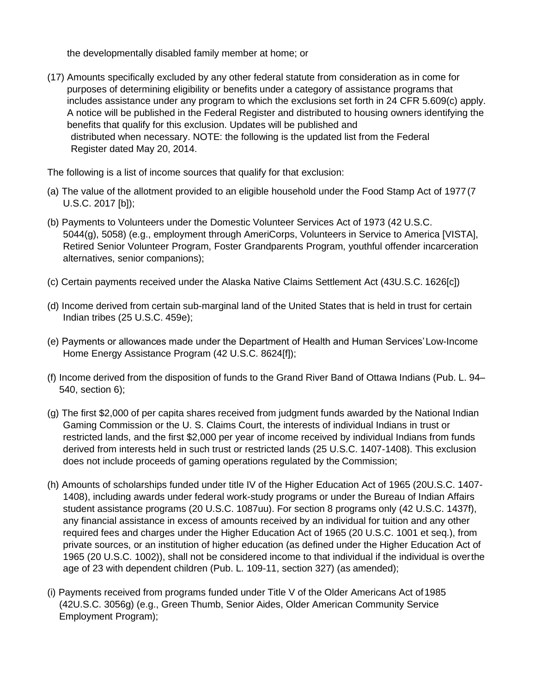the developmentally disabled family member at home; or

(17) Amounts specifically excluded by any other federal statute from consideration as in come for purposes of determining eligibility or benefits under a category of assistance programs that includes assistance under any program to which the exclusions set forth in 24 CFR 5.609(c) apply. A notice will be published in the Federal Register and distributed to housing owners identifying the benefits that qualify for this exclusion. Updates will be published and distributed when necessary. NOTE: the following is the updated list from the Federal Register dated May 20, 2014.

The following is a list of income sources that qualify for that exclusion:

- (a) The value of the allotment provided to an eligible household under the Food Stamp Act of 1977(7 U.S.C. 2017 [b]);
- (b) Payments to Volunteers under the Domestic Volunteer Services Act of 1973 (42 U.S.C. 5044(g), 5058) (e.g., employment through AmeriCorps, Volunteers in Service to America [VISTA], Retired Senior Volunteer Program, Foster Grandparents Program, youthful offender incarceration alternatives, senior companions);
- (c) Certain payments received under the Alaska Native Claims Settlement Act (43U.S.C. 1626[c])
- (d) Income derived from certain sub-marginal land of the United States that is held in trust for certain Indian tribes (25 U.S.C. 459e);
- (e) Payments or allowances made under the Department of Health and Human Services'Low-Income Home Energy Assistance Program (42 U.S.C. 8624[f]);
- (f) Income derived from the disposition of funds to the Grand River Band of Ottawa Indians (Pub. L. 94– 540, section 6);
- (g) The first \$2,000 of per capita shares received from judgment funds awarded by the National Indian Gaming Commission or the U. S. Claims Court, the interests of individual Indians in trust or restricted lands, and the first \$2,000 per year of income received by individual Indians from funds derived from interests held in such trust or restricted lands (25 U.S.C. 1407-1408). This exclusion does not include proceeds of gaming operations regulated by the Commission;
- (h) Amounts of scholarships funded under title IV of the Higher Education Act of 1965 (20U.S.C. 1407- 1408), including awards under federal work-study programs or under the Bureau of Indian Affairs student assistance programs (20 U.S.C. 1087uu). For section 8 programs only (42 U.S.C. 1437f), any financial assistance in excess of amounts received by an individual for tuition and any other required fees and charges under the Higher Education Act of 1965 (20 U.S.C. 1001 et seq.), from private sources, or an institution of higher education (as defined under the Higher Education Act of 1965 (20 U.S.C. 1002)), shall not be considered income to that individual if the individual is overthe age of 23 with dependent children (Pub. L. 109-11, section 327) (as amended);
- (i) Payments received from programs funded under Title V of the Older Americans Act of1985 (42U.S.C. 3056g) (e.g., Green Thumb, Senior Aides, Older American Community Service Employment Program);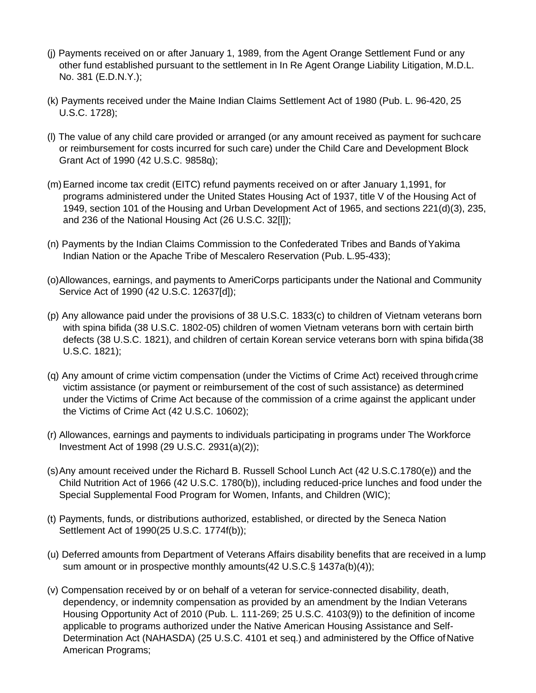- (j) Payments received on or after January 1, 1989, from the Agent Orange Settlement Fund or any other fund established pursuant to the settlement in In Re Agent Orange Liability Litigation, M.D.L. No. 381 (E.D.N.Y.);
- (k) Payments received under the Maine Indian Claims Settlement Act of 1980 (Pub. L. 96-420, 25 U.S.C. 1728);
- (l) The value of any child care provided or arranged (or any amount received as payment for suchcare or reimbursement for costs incurred for such care) under the Child Care and Development Block Grant Act of 1990 (42 U.S.C. 9858q);
- (m)Earned income tax credit (EITC) refund payments received on or after January 1,1991, for programs administered under the United States Housing Act of 1937, title V of the Housing Act of 1949, section 101 of the Housing and Urban Development Act of 1965, and sections 221(d)(3), 235, and 236 of the National Housing Act (26 U.S.C. 32[l]);
- (n) Payments by the Indian Claims Commission to the Confederated Tribes and Bands ofYakima Indian Nation or the Apache Tribe of Mescalero Reservation (Pub. L.95-433);
- (o)Allowances, earnings, and payments to AmeriCorps participants under the National and Community Service Act of 1990 (42 U.S.C. 12637[d]);
- (p) Any allowance paid under the provisions of 38 U.S.C. 1833(c) to children of Vietnam veterans born with spina bifida (38 U.S.C. 1802-05) children of women Vietnam veterans born with certain birth defects (38 U.S.C. 1821), and children of certain Korean service veterans born with spina bifida(38 U.S.C. 1821);
- (q) Any amount of crime victim compensation (under the Victims of Crime Act) received through crime victim assistance (or payment or reimbursement of the cost of such assistance) as determined under the Victims of Crime Act because of the commission of a crime against the applicant under the Victims of Crime Act (42 U.S.C. 10602);
- (r) Allowances, earnings and payments to individuals participating in programs under The Workforce Investment Act of 1998 (29 U.S.C. 2931(a)(2));
- (s)Any amount received under the Richard B. Russell School Lunch Act (42 U.S.C.1780(e)) and the Child Nutrition Act of 1966 (42 U.S.C. 1780(b)), including reduced-price lunches and food under the Special Supplemental Food Program for Women, Infants, and Children (WIC);
- (t) Payments, funds, or distributions authorized, established, or directed by the Seneca Nation Settlement Act of 1990(25 U.S.C. 1774f(b));
- (u) Deferred amounts from Department of Veterans Affairs disability benefits that are received in a lump sum amount or in prospective monthly amounts(42 U.S.C.§ 1437a(b)(4));
- (v) Compensation received by or on behalf of a veteran for service-connected disability, death, dependency, or indemnity compensation as provided by an amendment by the Indian Veterans Housing Opportunity Act of 2010 (Pub. L. 111-269; 25 U.S.C. 4103(9)) to the definition of income applicable to programs authorized under the Native American Housing Assistance and Self-Determination Act (NAHASDA) (25 U.S.C. 4101 et seq.) and administered by the Office of Native American Programs;